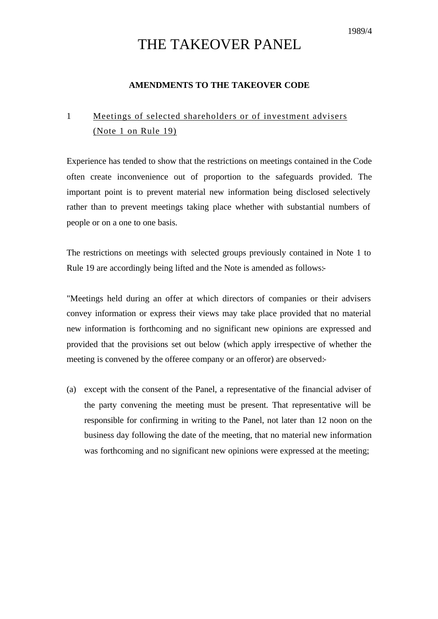# THE TAKEOVER PANEL

### **AMENDMENTS TO THE TAKEOVER CODE**

## 1 Meetings of selected shareholders or of investment advisers (Note 1 on Rule 19)

Experience has tended to show that the restrictions on meetings contained in the Code often create inconvenience out of proportion to the safeguards provided. The important point is to prevent material new information being disclosed selectively rather than to prevent meetings taking place whether with substantial numbers of people or on a one to one basis.

The restrictions on meetings with selected groups previously contained in Note 1 to Rule 19 are accordingly being lifted and the Note is amended as follows:-

"Meetings held during an offer at which directors of companies or their advisers convey information or express their views may take place provided that no material new information is forthcoming and no significant new opinions are expressed and provided that the provisions set out below (which apply irrespective of whether the meeting is convened by the offeree company or an offeror) are observed:-

(a) except with the consent of the Panel, a representative of the financial adviser of the party convening the meeting must be present. That representative will be responsible for confirming in writing to the Panel, not later than 12 noon on the business day following the date of the meeting, that no material new information was forthcoming and no significant new opinions were expressed at the meeting;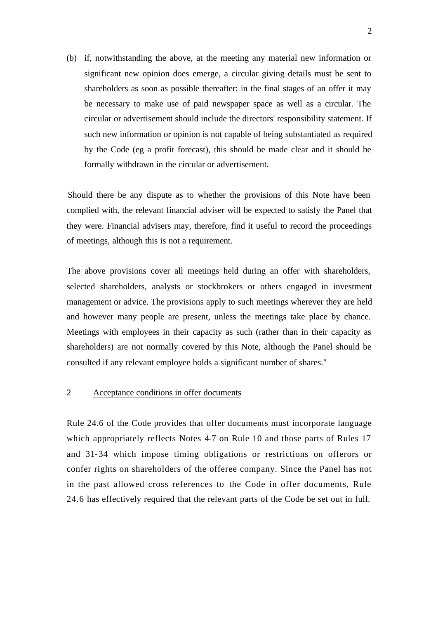(b) if, notwithstanding the above, at the meeting any material new information or significant new opinion does emerge, a circular giving details must be sent to shareholders as soon as possible thereafter: in the final stages of an offer it may be necessary to make use of paid newspaper space as well as a circular. The circular or advertisement should include the directors' responsibility statement. If such new information or opinion is not capable of being substantiated as required by the Code (eg a profit forecast), this should be made clear and it should be formally withdrawn in the circular or advertisement.

Should there be any dispute as to whether the provisions of this Note have been complied with, the relevant financial adviser will be expected to satisfy the Panel that they were. Financial advisers may, therefore, find it useful to record the proceedings of meetings, although this is not a requirement.

The above provisions cover all meetings held during an offer with shareholders, selected shareholders, analysts or stockbrokers or others engaged in investment management or advice. The provisions apply to such meetings wherever they are held and however many people are present, unless the meetings take place by chance. Meetings with employees in their capacity as such (rather than in their capacity as shareholders) are not normally covered by this Note, although the Panel should be consulted if any relevant employee holds a significant number of shares."

#### 2 Acceptance conditions in offer documents

Rule 24.6 of the Code provides that offer documents must incorporate language which appropriately reflects Notes 4-7 on Rule 10 and those parts of Rules 17 and 31-34 which impose timing obligations or restrictions on offerors or confer rights on shareholders of the offeree company. Since the Panel has not in the past allowed cross references to the Code in offer documents, Rule 24.6 has effectively required that the relevant parts of the Code be set out in full.